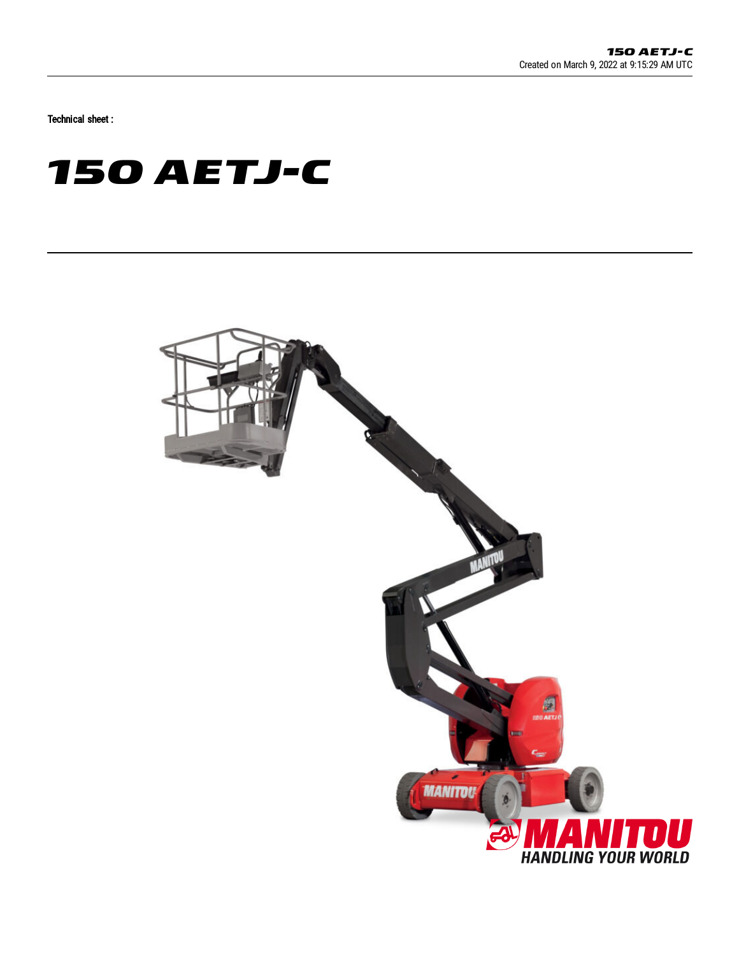Technical sheet :

# **150 AETJ-C**

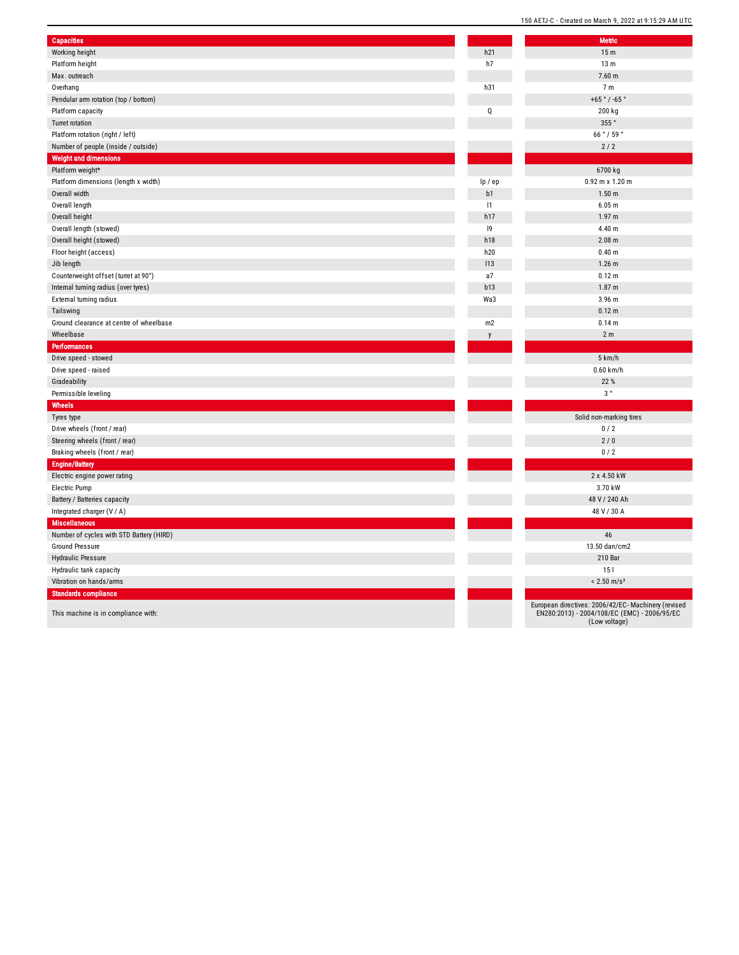| <b>Capacities</b>                        |             | <b>Metric</b>                                              |
|------------------------------------------|-------------|------------------------------------------------------------|
| Working height                           | h21         | 15 <sub>m</sub>                                            |
| Platform height                          | h7          | 13 <sub>m</sub>                                            |
| Max. outreach                            |             | $7.60$ m                                                   |
| Overhang                                 | h31         | 7 <sub>m</sub>                                             |
| Pendular arm rotation (top / bottom)     |             | $+65°/ -6$                                                 |
| Platform capacity                        | $\mathsf Q$ | 200 kg                                                     |
| <b>Turret rotation</b>                   |             | 355°                                                       |
| Platform rotation (right / left)         |             | 66°/59                                                     |
| Number of people (inside / outside)      |             | $2/2$                                                      |
| <b>Weight and dimensions</b>             |             |                                                            |
| Platform weight*                         |             | 6700 kg                                                    |
| Platform dimensions (length x width)     | lp / ep     | $0.92$ m x 1.                                              |
| Overall width                            | b1          | 1.50 <sub>m</sub>                                          |
| Overall length                           | 1           | 6.05 m                                                     |
| Overall height                           | h17         | 1.97 m                                                     |
| Overall length (stowed)                  | 9           | 4.40 m                                                     |
| Overall height (stowed)                  | h18         | $2.08 \text{ m}$                                           |
| Floor height (access)                    | h20         | $0.40 \; m$                                                |
| Jib length                               | 113         | $1.26$ m                                                   |
| Counterweight offset (turret at 90°)     | a7          | $0.12 \text{ m}$                                           |
| Internal turning radius (over tyres)     | b13         | 1.87 m                                                     |
|                                          | Wa3         | 3.96 m                                                     |
| External turning radius                  |             | $0.12 \text{ m}$                                           |
| Tailswing                                |             |                                                            |
| Ground clearance at centre of wheelbase  | m2          | 0.14 m                                                     |
| Wheelbase<br><b>Performances</b>         | y           | 2 <sub>m</sub>                                             |
| Drive speed - stowed                     |             | 5 km/h                                                     |
| Drive speed - raised                     |             | $0.60$ km                                                  |
|                                          |             | 22 %                                                       |
| Gradeability                             |             |                                                            |
| Permissible leveling                     |             | $3\,^{\circ}$                                              |
| Wheels                                   |             |                                                            |
| Tyres type                               |             | Solid non-mark                                             |
| Drive wheels (front / rear)              |             | 0/2                                                        |
| Steering wheels (front / rear)           |             | 2/0                                                        |
| Braking wheels (front / rear)            |             | 0/2                                                        |
| <b>Engine/Battery</b>                    |             |                                                            |
| Electric engine power rating             |             | 2 x 4.50                                                   |
| Electric Pump                            |             | 3.70 kV                                                    |
| Battery / Batteries capacity             |             | 48 V / 240                                                 |
| Integrated charger (V / A)               |             | 48 V / 30                                                  |
| <b>Miscellaneous</b>                     |             |                                                            |
| Number of cycles with STD Battery (HIRD) |             | 46                                                         |
| Ground Pressure                          |             | 13.50 dan/                                                 |
| Hydraulic Pressure                       |             | 210 Ba                                                     |
| Hydraulic tank capacity                  |             | 151                                                        |
| Vibration on hands/arms                  |             | $< 2.50$ m/                                                |
| <b>Standards compliance</b>              |             |                                                            |
| This machine is in compliance with:      |             | European directives: 2006/42/<br>EN280:2013) - 2004/108/EC |
|                                          |             |                                                            |

| <b>Metric</b><br>15 <sub>m</sub> |
|----------------------------------|
| 13 <sub>m</sub>                  |
| 7.60 m                           |
| 7 <sub>m</sub>                   |
| +65 $^{\circ}$ / -65 $^{\circ}$  |
|                                  |
| 200 kg                           |
| 355°                             |
| 66°/59°                          |
| $2/2$                            |
|                                  |
| 6700 kg                          |
| 0.92 m x 1.20 m                  |
| 1.50 <sub>m</sub>                |
| 6.05 <sub>m</sub>                |
| 1.97 <sub>m</sub>                |
| 4.40 m                           |
| 2.08 m                           |
| 0.40 <sub>m</sub>                |
| 1.26 <sub>m</sub>                |
| 0.12 m                           |
| 1.87 <sub>m</sub>                |
| 3.96 m                           |
| 0.12 m                           |
| 0.14 <sub>m</sub>                |
| 2 <sub>m</sub>                   |
|                                  |
| 5 km/h                           |
| $0.60$ km/h                      |
| 22 %                             |
| $3^{\circ}$                      |
| Solid non-marking tires          |
| 0/2                              |
| 2/0                              |
| 0/2                              |
|                                  |
| 2 x 4.50 kW                      |
| 3.70 kW                          |
| 48 V / 240 Ah                    |
| 48 V / 30 A                      |
|                                  |
| 46                               |
| 13.50 dan/cm2                    |
| 210 Bar                          |
| 15 <sub>1</sub>                  |
| $< 2.50$ m/s <sup>2</sup>        |
|                                  |
|                                  |

150 AETJ-C - Created on March 9, 2022 at 9:15:29 AM UTC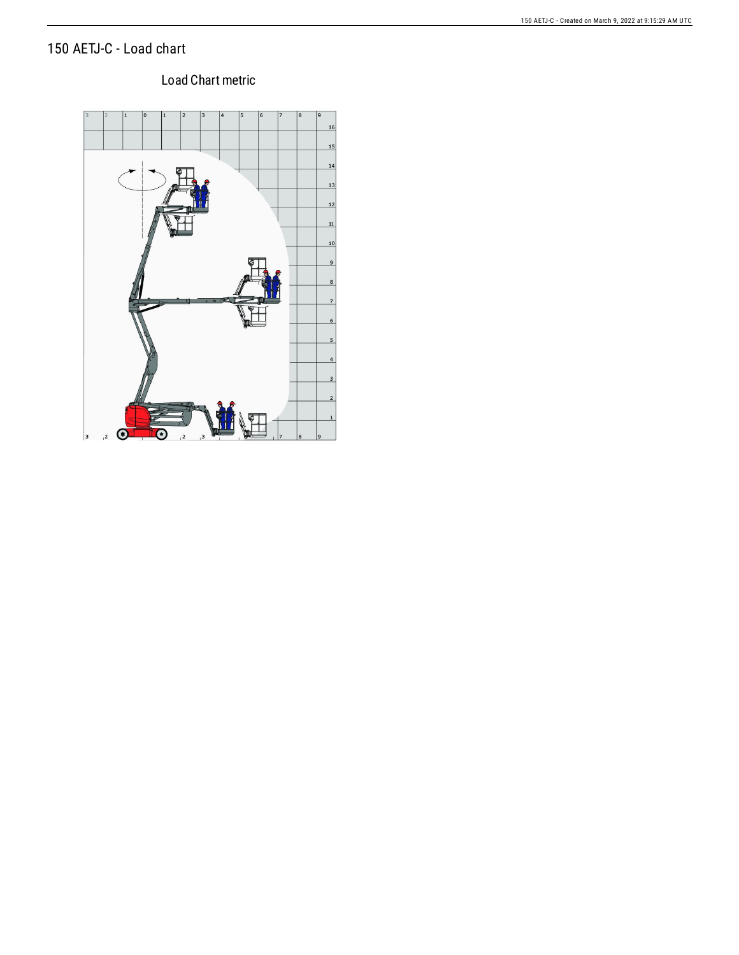#### 150 AETJ-C - Load chart

#### 150 AETJ-C - Created on March 9, 2022 at 9:15:29 AM UTC

#### Load Chart metric

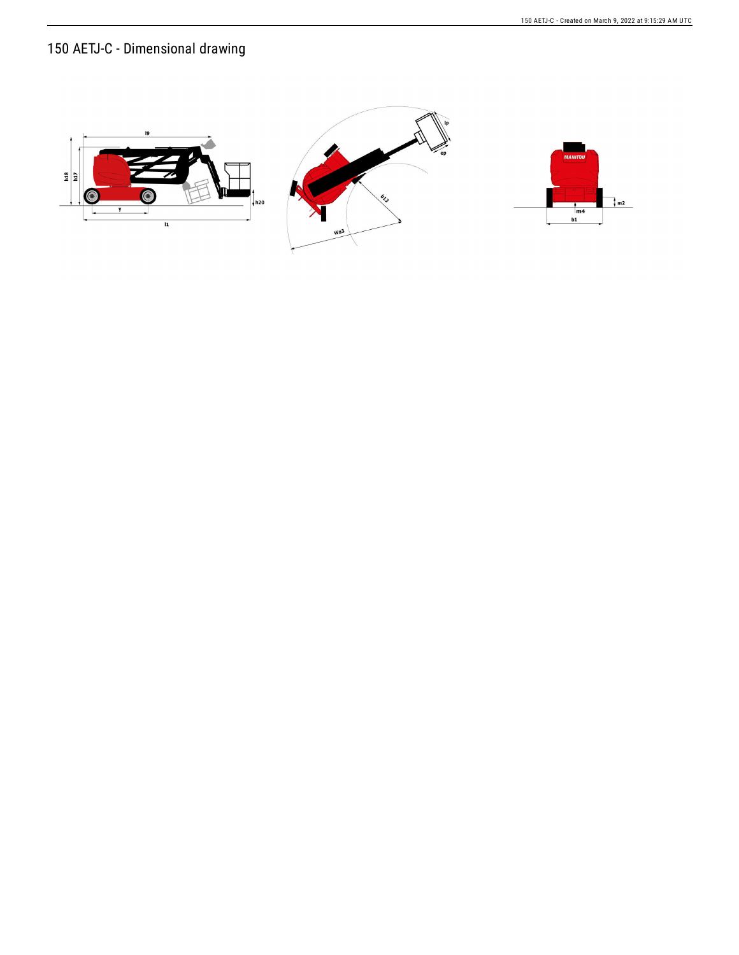## 150 AETJ-C - Dimensional drawing

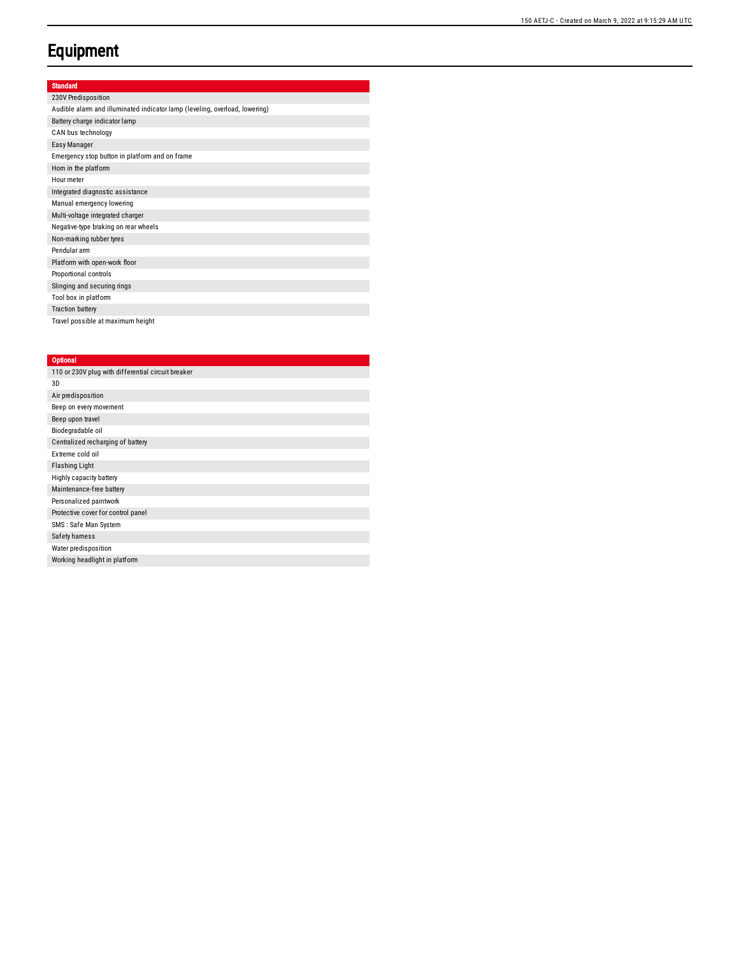### **Equipment**

| ٠   | u |  |
|-----|---|--|
| :11 |   |  |
|     |   |  |

| 230V Predisposition                                                         |
|-----------------------------------------------------------------------------|
| Audible alarm and illuminated indicator lamp (leveling, overload, lowering) |
| Battery charge indicator lamp                                               |
| CAN bus technology                                                          |
| Easy Manager                                                                |
| Emergency stop button in platform and on frame                              |
| Horn in the platform                                                        |
| Hour meter                                                                  |
| Integrated diagnostic assistance                                            |
| Manual emergency lowering                                                   |
| Multi-voltage integrated charger                                            |
| Negative-type braking on rear wheels                                        |
| Non-marking rubber tyres                                                    |
| Pendular arm                                                                |
| Platform with open-work floor                                               |
| Proportional controls                                                       |
| Slinging and securing rings                                                 |
| Tool box in platform                                                        |
| <b>Traction battery</b>                                                     |
| Travel possible at maximum height                                           |

#### **Optional**